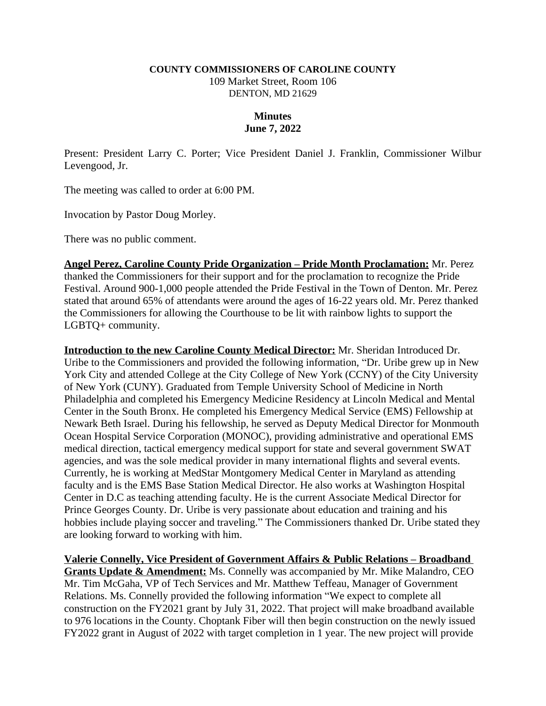## **COUNTY COMMISSIONERS OF CAROLINE COUNTY**

109 Market Street, Room 106 DENTON, MD 21629

## **Minutes June 7, 2022**

Present: President Larry C. Porter; Vice President Daniel J. Franklin, Commissioner Wilbur Levengood, Jr.

The meeting was called to order at 6:00 PM.

Invocation by Pastor Doug Morley.

There was no public comment.

**Angel Perez, Caroline County Pride Organization – Pride Month Proclamation:** Mr. Perez thanked the Commissioners for their support and for the proclamation to recognize the Pride Festival. Around 900-1,000 people attended the Pride Festival in the Town of Denton. Mr. Perez stated that around 65% of attendants were around the ages of 16-22 years old. Mr. Perez thanked the Commissioners for allowing the Courthouse to be lit with rainbow lights to support the LGBTQ+ community.

**Introduction to the new Caroline County Medical Director:** Mr. Sheridan Introduced Dr. Uribe to the Commissioners and provided the following information, "Dr. Uribe grew up in New York City and attended College at the City College of New York (CCNY) of the City University of New York (CUNY). Graduated from Temple University School of Medicine in North Philadelphia and completed his Emergency Medicine Residency at Lincoln Medical and Mental Center in the South Bronx. He completed his Emergency Medical Service (EMS) Fellowship at Newark Beth Israel. During his fellowship, he served as Deputy Medical Director for Monmouth Ocean Hospital Service Corporation (MONOC), providing administrative and operational EMS medical direction, tactical emergency medical support for state and several government SWAT agencies, and was the sole medical provider in many international flights and several events. Currently, he is working at MedStar Montgomery Medical Center in Maryland as attending faculty and is the EMS Base Station Medical Director. He also works at Washington Hospital Center in D.C as teaching attending faculty. He is the current Associate Medical Director for Prince Georges County. Dr. Uribe is very passionate about education and training and his hobbies include playing soccer and traveling." The Commissioners thanked Dr. Uribe stated they are looking forward to working with him.

**<u>Valerie Connelly, Vice President of Government Affairs & Public Relations – Broadband</u> Grants Update & Amendment:** Ms. Connelly was accompanied by Mr. Mike Malandro, CEO Mr. Tim McGaha, VP of Tech Services and Mr. Matthew Teffeau, Manager of Government Relations. Ms. Connelly provided the following information "We expect to complete all construction on the FY2021 grant by July 31, 2022. That project will make broadband available to 976 locations in the County. Choptank Fiber will then begin construction on the newly issued FY2022 grant in August of 2022 with target completion in 1 year. The new project will provide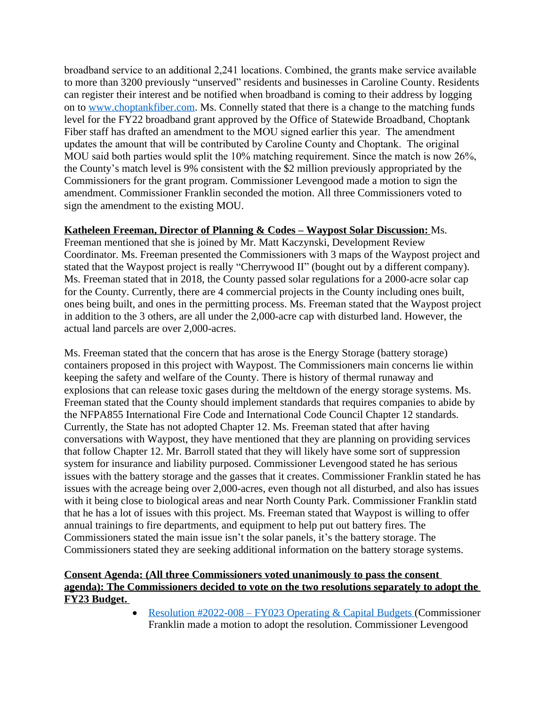broadband service to an additional 2,241 locations. Combined, the grants make service available to more than 3200 previously "unserved" residents and businesses in Caroline County. Residents can register their interest and be notified when broadband is coming to their address by logging on to [www.choptankfiber.com.](https://gcc02.safelinks.protection.outlook.com/?url=https%3A%2F%2Furldefense.proofpoint.com%2Fv2%2Furl%3Fu%3Dhttp-3A__www.choptankfiber.com%26d%3DDwMFAg%26c%3DFbPJOM5IDy-rmod778uIHeNe0SLckYb_SXl266d_etQ%26r%3DVey1eruL8K9QBHcdrtILk8ZGEiVfwv8Sfac9p3QsR8Q%26m%3D8ity5puw0dfPxiQ5RWr9eB14_5NVW5he9lVPzKWCDhEAFeY64X18qKo6W2SH5y8s%26s%3Dr31q4r1gvc5PVJQ5WWW0R6P2UKLaO8GpveKg_21oOYk%26e%3D&data=05%7C01%7Ckleager%40carolinemd.org%7C2ca3d4428af84e724d9608da4958ca85%7C83be138f33684af9a1903b2b920fe441%7C1%7C0%7C637902943569728242%7CUnknown%7CTWFpbGZsb3d8eyJWIjoiMC4wLjAwMDAiLCJQIjoiV2luMzIiLCJBTiI6Ik1haWwiLCJXVCI6Mn0%3D%7C0%7C%7C%7C&sdata=aYC1hSkgOmAtbCSeI8wFC4b5LpyvUp53kN3ki5xT1u8%3D&reserved=0) Ms. Connelly stated that there is a change to the matching funds level for the FY22 broadband grant approved by the Office of Statewide Broadband, Choptank Fiber staff has drafted an amendment to the MOU signed earlier this year. The amendment updates the amount that will be contributed by Caroline County and Choptank. The original MOU said both parties would split the 10% matching requirement. Since the match is now 26%, the County's match level is 9% consistent with the \$2 million previously appropriated by the Commissioners for the grant program. Commissioner Levengood made a motion to sign the amendment. Commissioner Franklin seconded the motion. All three Commissioners voted to sign the amendment to the existing MOU.

## **Katheleen Freeman, Director of Planning & Codes – Waypost Solar Discussion:** Ms.

Freeman mentioned that she is joined by Mr. Matt Kaczynski, Development Review Coordinator. Ms. Freeman presented the Commissioners with 3 maps of the Waypost project and stated that the Waypost project is really "Cherrywood II" (bought out by a different company). Ms. Freeman stated that in 2018, the County passed solar regulations for a 2000-acre solar cap for the County. Currently, there are 4 commercial projects in the County including ones built, ones being built, and ones in the permitting process. Ms. Freeman stated that the Waypost project in addition to the 3 others, are all under the 2,000-acre cap with disturbed land. However, the actual land parcels are over 2,000-acres.

Ms. Freeman stated that the concern that has arose is the Energy Storage (battery storage) containers proposed in this project with Waypost. The Commissioners main concerns lie within keeping the safety and welfare of the County. There is history of thermal runaway and explosions that can release toxic gases during the meltdown of the energy storage systems. Ms. Freeman stated that the County should implement standards that requires companies to abide by the NFPA855 International Fire Code and International Code Council Chapter 12 standards. Currently, the State has not adopted Chapter 12. Ms. Freeman stated that after having conversations with Waypost, they have mentioned that they are planning on providing services that follow Chapter 12. Mr. Barroll stated that they will likely have some sort of suppression system for insurance and liability purposed. Commissioner Levengood stated he has serious issues with the battery storage and the gasses that it creates. Commissioner Franklin stated he has issues with the acreage being over 2,000-acres, even though not all disturbed, and also has issues with it being close to biological areas and near North County Park. Commissioner Franklin statd that he has a lot of issues with this project. Ms. Freeman stated that Waypost is willing to offer annual trainings to fire departments, and equipment to help put out battery fires. The Commissioners stated the main issue isn't the solar panels, it's the battery storage. The Commissioners stated they are seeking additional information on the battery storage systems.

## **Consent Agenda: (All three Commissioners voted unanimously to pass the consent agenda): The Commissioners decided to vote on the two resolutions separately to adopt the FY23 Budget.**

• Resolution #2022-008 – [FY023 Operating & Capital Budgets](https://www.carolinemd.org/DocumentCenter/View/7157/2022-008-FY2023-Operating-and-Capital-Budgets) (Commissioner Franklin made a motion to adopt the resolution. Commissioner Levengood